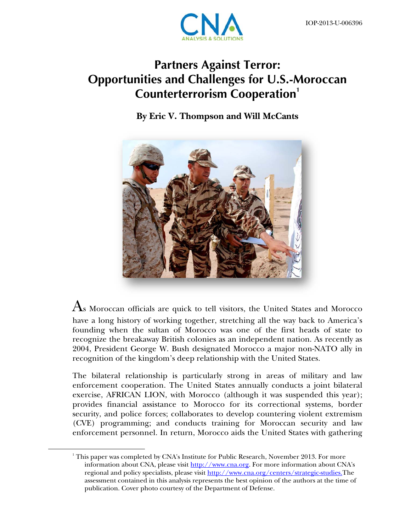

# **Partners Against Terror: Opportunities and Challenges for U.S.-Moroccan Counterterrorism Cooperation<sup>1</sup>**

**By Eric V. Thompson and Will McCants** 



 $\rm{A}$ s Moroccan officials are quick to tell visitors, the United States and Morocco have a long history of working together, stretching all the way back to America's founding when the sultan of Morocco was one of the first heads of state to recognize the breakaway British colonies as an independent nation. As recently as 2004, President George W. Bush designated Morocco a major non-NATO ally in recognition of the kingdom's deep relationship with the United States.

The bilateral relationship is particularly strong in areas of military and law enforcement cooperation. The United States annually conducts a joint bilateral exercise, AFRICAN LION, with Morocco (although it was suspended this year); provides financial assistance to Morocco for its correctional systems, border security, and police forces; collaborates to develop countering violent extremism (CVE) programming; and conducts training for Moroccan security and law enforcement personnel. In return, Morocco aids the United States with gathering

<u>.</u>

 $^{\rm 1}$  This paper was completed by CNA's Institute for Public Research, November 2013. For more information about CNA, please visit http://www.cna.org. For more information about CNA's regional and policy specialists, please visit http://www.cna.org/centers/strategic-studies.The assessment contained in this analysis represents the best opinion of the authors at the time of publication. Cover photo courtesy of the Department of Defense.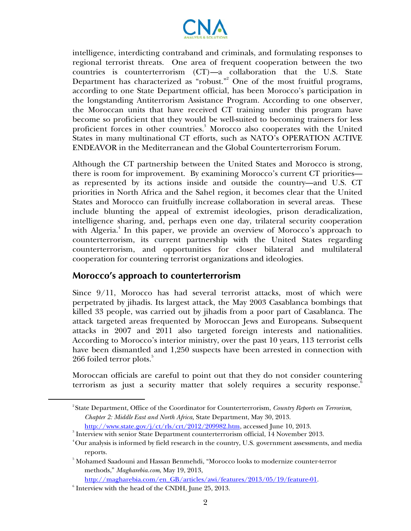

intelligence, interdicting contraband and criminals, and formulating responses to regional terrorist threats. One area of frequent cooperation between the two countries is counterterrorism (CT)—a collaboration that the U.S. State Department has characterized as "robust."<sup>2</sup> One of the most fruitful programs, according to one State Department official, has been Morocco's participation in the longstanding Antiterrorism Assistance Program. According to one observer, the Moroccan units that have received CT training under this program have become so proficient that they would be well-suited to becoming trainers for less proficient forces in other countries.<sup>3</sup> Morocco also cooperates with the United States in many multinational CT efforts, such as NATO's OPERATION ACTIVE ENDEAVOR in the Mediterranean and the Global Counterterrorism Forum.

Although the CT partnership between the United States and Morocco is strong, there is room for improvement. By examining Morocco's current CT priorities as represented by its actions inside and outside the country—and U.S. CT priorities in North Africa and the Sahel region, it becomes clear that the United States and Morocco can fruitfully increase collaboration in several areas. These include blunting the appeal of extremist ideologies, prison deradicalization, intelligence sharing, and, perhaps even one day, trilateral security cooperation with Algeria.<sup>4</sup> In this paper, we provide an overview of Morocco's approach to counterterrorism, its current partnership with the United States regarding counterterrorism, and opportunities for closer bilateral and multilateral cooperation for countering terrorist organizations and ideologies.

#### **Morocco's approach to counterterrorism**

Since 9/11, Morocco has had several terrorist attacks, most of which were perpetrated by jihadis. Its largest attack, the May 2003 Casablanca bombings that killed 33 people, was carried out by jihadis from a poor part of Casablanca. The attack targeted areas frequented by Moroccan Jews and Europeans. Subsequent attacks in 2007 and 2011 also targeted foreign interests and nationalities. According to Morocco's interior ministry, over the past 10 years, 113 terrorist cells have been dismantled and 1,250 suspects have been arrested in connection with  $266$  foiled terror plots. $^5$ 

Moroccan officials are careful to point out that they do not consider countering terrorism as just a security matter that solely requires a security response.<sup>8</sup>

1

<sup>2</sup> State Department, Office of the Coordinator for Counterterrorism, *Country Reports on Terrorism, Chapter 2: Middle East and North Africa,* State Department, May 30, 2013.

http://www.state.gov/j/ct/rls/crt/2012/209982.htm, accessed June 10, 2013.<br><sup>3</sup> Interview with senior State Department counterterrorism official, 14 November 2013.

 $^4$ Our analysis is informed by field research in the country, U.S. government assessments, and media

reports. 5 Mohamed Saadouni and Hassan Benmehdi, "Morocco looks to modernize counter-terror methods," *Magharebia.com*, May 19, 2013,

http://magharebia.com/en\_GB/articles/awi/features/2013/05/19/feature-01.

 $\delta$  Interview with the head of the CNDH, June 25, 2013.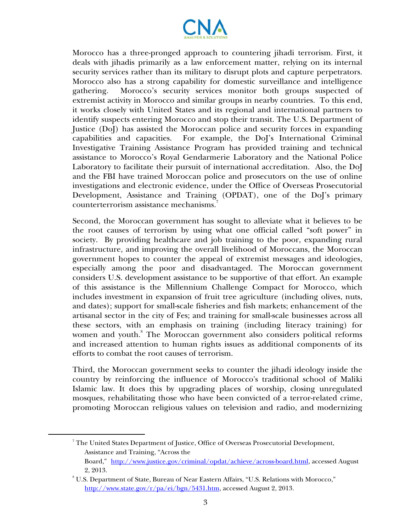

Morocco has a three-pronged approach to countering jihadi terrorism. First, it deals with jihadis primarily as a law enforcement matter, relying on its internal security services rather than its military to disrupt plots and capture perpetrators. Morocco also has a strong capability for domestic surveillance and intelligence gathering. Morocco's security services monitor both groups suspected of extremist activity in Morocco and similar groups in nearby countries. To this end, it works closely with United States and its regional and international partners to identify suspects entering Morocco and stop their transit. The U.S. Department of Justice (DoJ) has assisted the Moroccan police and security forces in expanding capabilities and capacities. For example, the DoJ's International Criminal Investigative Training Assistance Program has provided training and technical assistance to Morocco's Royal Gendarmerie Laboratory and the National Police Laboratory to facilitate their pursuit of international accreditation. Also, the DoJ and the FBI have trained Moroccan police and prosecutors on the use of online investigations and electronic evidence, under the Office of Overseas Prosecutorial Development, Assistance and Training (OPDAT), one of the DoJ's primary counterterrorism assistance mechanisms.<sup>7</sup>

Second, the Moroccan government has sought to alleviate what it believes to be the root causes of terrorism by using what one official called "soft power" in society. By providing healthcare and job training to the poor, expanding rural infrastructure, and improving the overall livelihood of Moroccans, the Moroccan government hopes to counter the appeal of extremist messages and ideologies, especially among the poor and disadvantaged. The Moroccan government considers U.S. development assistance to be supportive of that effort. An example of this assistance is the Millennium Challenge Compact for Morocco, which includes investment in expansion of fruit tree agriculture (including olives, nuts, and dates); support for small-scale fisheries and fish markets; enhancement of the artisanal sector in the city of Fes; and training for small-scale businesses across all these sectors, with an emphasis on training (including literacy training) for women and youth.<sup>8</sup> The Moroccan government also considers political reforms and increased attention to human rights issues as additional components of its efforts to combat the root causes of terrorism.

Third, the Moroccan government seeks to counter the jihadi ideology inside the country by reinforcing the influence of Morocco's traditional school of Maliki Islamic law. It does this by upgrading places of worship, closing unregulated mosques, rehabilitating those who have been convicted of a terror-related crime, promoting Moroccan religious values on television and radio, and modernizing

 $\overline{a}$ 

<sup>&</sup>lt;sup>7</sup> The United States Department of Justice, Office of Overseas Prosecutorial Development, Assistance and Training, "Across the

Board," http://www.justice.gov/criminal/opdat/achieve/across-board.html, accessed August 2, 2013.

U.S. Department of State, Bureau of Near Eastern Affairs, "U.S. Relations with Morocco," http://www.state.gov/r/pa/ei/bgn/5431.htm, accessed August 2, 2013.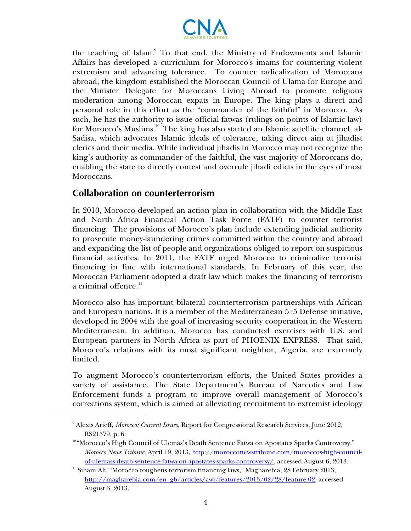

the teaching of Islam.<sup>9</sup> To that end, the Ministry of Endowments and Islamic Affairs has developed a curriculum for Morocco's imams for countering violent extremism and advancing tolerance. To counter radicalization of Moroccans abroad, the kingdom established the Moroccan Council of Ulama for Europe and the Minister Delegate for Moroccans Living Abroad to promote religious moderation among Moroccan expats in Europe. The king plays a direct and personal role in this effort as the "commander of the faithful" in Morocco. As such, he has the authority to issue official fatwas (rulings on points of Islamic law) for Morocco's Muslims.<sup>10</sup> The king has also started an Islamic satellite channel, al-Sadisa, which advocates Islamic ideals of tolerance, taking direct aim at jihadist clerics and their media. While individual jihadis in Morocco may not recognize the king's authority as commander of the faithful, the vast majority of Moroccans do, enabling the state to directly contest and overrule jihadi edicts in the eyes of most Moroccans.

# **Collaboration on counterterrorism**

 $\overline{a}$ 

In 2010, Morocco developed an action plan in collaboration with the Middle East and North Africa Financial Action Task Force (FATF) to counter terrorist financing. The provisions of Morocco's plan include extending judicial authority to prosecute money-laundering crimes committed within the country and abroad and expanding the list of people and organizations obliged to report on suspicious financial activities. In 2011, the FATF urged Morocco to criminalize terrorist financing in line with international standards. In February of this year, the Moroccan Parliament adopted a draft law which makes the financing of terrorism a criminal offence. $^{\rm 11}$ 

Morocco also has important bilateral counterterrorism partnerships with African and European nations. It is a member of the Mediterranean 5+5 Defense initiative, developed in 2004 with the goal of increasing security cooperation in the Western Mediterranean. In addition, Morocco has conducted exercises with U.S. and European partners in North Africa as part of PHOENIX EXPRESS. That said, Morocco's relations with its most significant neighbor, Algeria, are extremely limited.

To augment Morocco's counterterrorism efforts, the United States provides a variety of assistance. The State Department's Bureau of Narcotics and Law Enforcement funds a program to improve overall management of Morocco's corrections system, which is aimed at alleviating recruitment to extremist ideology

<sup>9</sup> Alexis Arieff, *Morocco: Current Issues,* Report for Congressional Research Services, June 2012,

RS21579, p. 6.<br><sup>10</sup> "Morocco's High Council of Ulemas's Death Sentence Fatwa on Apostates Sparks Controversy," *Morocco News Tribune*, April 19, 2013, http://morocconewstribune.com/moroccos-high-council-

of-ulemass-death-sentence-fatwa-on-apostates-sparks-controversy/, accessed August 6, 2013. 11 Siham Ali, "Morocco toughens terrorism financing laws," Magharebia, 28 February 2013, http://magharebia.com/en\_gb/articles/awi/features/2013/02/28/feature-02, accessed August 3, 2013.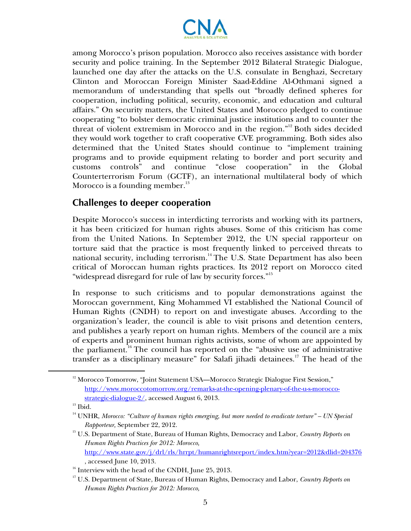

among Morocco's prison population. Morocco also receives assistance with border security and police training. In the September 2012 Bilateral Strategic Dialogue, launched one day after the attacks on the U.S. consulate in Benghazi, Secretary Clinton and Moroccan Foreign Minister Saad-Eddine Al-Othmani signed a memorandum of understanding that spells out "broadly defined spheres for cooperation, including political, security, economic, and education and cultural affairs." On security matters, the United States and Morocco pledged to continue cooperating "to bolster democratic criminal justice institutions and to counter the threat of violent extremism in Morocco and in the region."<sup>12</sup> Both sides decided they would work together to craft cooperative CVE programming. Both sides also determined that the United States should continue to "implement training programs and to provide equipment relating to border and port security and customs controls" and continue "close cooperation" in the Global Counterterrorism Forum (GCTF), an international multilateral body of which Morocco is a founding member. $^{13}$ 

### **Challenges to deeper cooperation**

Despite Morocco's success in interdicting terrorists and working with its partners, it has been criticized for human rights abuses. Some of this criticism has come from the United Nations. In September 2012, the UN special rapporteur on torture said that the practice is most frequently linked to perceived threats to national security, including terrorism.<sup>14</sup> The U.S. State Department has also been critical of Moroccan human rights practices. Its 2012 report on Morocco cited "widespread disregard for rule of law by security forces."<sup>15</sup>

In response to such criticisms and to popular demonstrations against the Moroccan government, King Mohammed VI established the National Council of Human Rights (CNDH) to report on and investigate abuses. According to the organization's leader, the council is able to visit prisons and detention centers, and publishes a yearly report on human rights. Members of the council are a mix of experts and prominent human rights activists, some of whom are appointed by the parliament.<sup>16</sup> The council has reported on the "abusive use of administrative" transfer as a disciplinary measure" for Salafi jihadi detainees.<sup>17</sup> The head of the

 $\overline{a}$ 

<sup>&</sup>lt;sup>12</sup> Morocco Tomorrow, "Joint Statement USA—Morocco Strategic Dialogue First Session," http://www.moroccotomorrow.org/remarks-at-the-opening-plenary-of-the-u-s-moroccostrategic-dialogue-2/, accessed August 6, 2013.<br><sup>13</sup> Ibid.

<sup>14</sup> UNHR, *Morocco: "Culture of human rights emerging, but more needed to eradicate torture" – UN Special* 

*Rapporteur,* September 22, 2012. 15 U.S. Department of State, Bureau of Human Rights, Democracy and Labor, *Country Reports on Human Rights Practices for 2012: Morocco,*

http://www.state.gov/j/drl/rls/hrrpt/humanrightsreport/index.htm?year=2012&dlid=204376

<sup>%,</sup> accessed June 10, 2013. 16 Interview with the head of the CNDH, June 25, 2013.

<sup>17</sup> U.S. Department of State, Bureau of Human Rights, Democracy and Labor, *Country Reports on Human Rights Practices for 2012: Morocco,*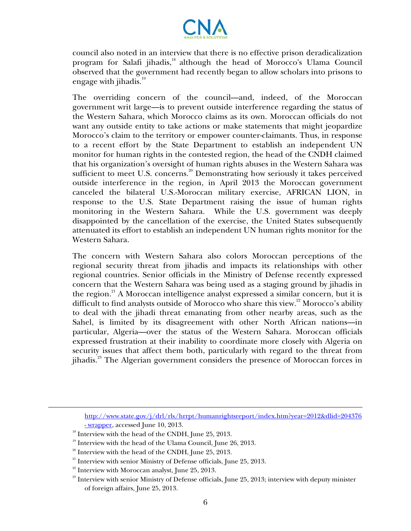

council also noted in an interview that there is no effective prison deradicalization program for Salafi jihadis,<sup>18</sup> although the head of Morocco's Ulama Council observed that the government had recently began to allow scholars into prisons to engage with jihadis. $^{19}$ 

The overriding concern of the council—and, indeed, of the Moroccan government writ large—is to prevent outside interference regarding the status of the Western Sahara, which Morocco claims as its own. Moroccan officials do not want any outside entity to take actions or make statements that might jeopardize Morocco's claim to the territory or empower counter-claimants. Thus, in response to a recent effort by the State Department to establish an independent UN monitor for human rights in the contested region, the head of the CNDH claimed that his organization's oversight of human rights abuses in the Western Sahara was sufficient to meet U.S. concerns.<sup>20</sup> Demonstrating how seriously it takes perceived outside interference in the region, in April 2013 the Moroccan government canceled the bilateral U.S.-Moroccan military exercise, AFRICAN LION, in response to the U.S. State Department raising the issue of human rights monitoring in the Western Sahara. While the U.S. government was deeply disappointed by the cancellation of the exercise, the United States subsequently attenuated its effort to establish an independent UN human rights monitor for the Western Sahara.

The concern with Western Sahara also colors Moroccan perceptions of the regional security threat from jihadis and impacts its relationships with other regional countries. Senior officials in the Ministry of Defense recently expressed concern that the Western Sahara was being used as a staging ground by jihadis in the region.<sup>21</sup> A Moroccan intelligence analyst expressed a similar concern, but it is difficult to find analysts outside of Morocco who share this view.<sup>22</sup> Morocco's ability to deal with the jihadi threat emanating from other nearby areas, such as the Sahel, is limited by its disagreement with other North African nations—in particular, Algeria—over the status of the Western Sahara. Moroccan officials expressed frustration at their inability to coordinate more closely with Algeria on security issues that affect them both, particularly with regard to the threat from jihadis.23 The Algerian government considers the presence of Moroccan forces in

http://www.state.gov/j/drl/rls/hrrpt/humanrightsreport/index.htm?year=2012&dlid=204376

1

 $\frac{18 \text{ m} \times 1000 \text{ m}}{18 \text{ Int} \times 1000 \text{ m}}$  Interview with the head of the CNDH, June 25, 2013.

 $19$  Interview with the head of the Ulama Council, June 26, 2013.

 $20$  Interview with the head of the CNDH, June 25, 2013.

<sup>&</sup>lt;sup>21</sup> Interview with senior Ministry of Defense officials, June 25, 2013.<br><sup>22</sup> Interview with Moroccan analyst, June 25, 2013.

<sup>&</sup>lt;sup>23</sup> Interview with senior Ministry of Defense officials, June 25, 2013; interview with deputy minister of foreign affairs, June 25, 2013.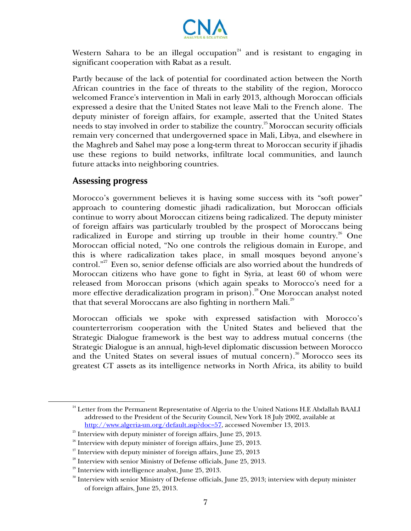

Western Sahara to be an illegal occupation $24$  and is resistant to engaging in significant cooperation with Rabat as a result.

Partly because of the lack of potential for coordinated action between the North African countries in the face of threats to the stability of the region, Morocco welcomed France's intervention in Mali in early 2013, although Moroccan officials expressed a desire that the United States not leave Mali to the French alone. The deputy minister of foreign affairs, for example, asserted that the United States needs to stay involved in order to stabilize the country.<sup>25</sup> Moroccan security officials remain very concerned that undergoverned space in Mali, Libya, and elsewhere in the Maghreb and Sahel may pose a long-term threat to Moroccan security if jihadis use these regions to build networks, infiltrate local communities, and launch future attacks into neighboring countries.

#### **Assessing progress**

 $\overline{a}$ 

Morocco's government believes it is having some success with its "soft power" approach to countering domestic jihadi radicalization, but Moroccan officials continue to worry about Moroccan citizens being radicalized. The deputy minister of foreign affairs was particularly troubled by the prospect of Moroccans being radicalized in Europe and stirring up trouble in their home country.<sup>26</sup> One Moroccan official noted, "No one controls the religious domain in Europe, and this is where radicalization takes place, in small mosques beyond anyone's control."<sup>27</sup> Even so, senior defense officials are also worried about the hundreds of Moroccan citizens who have gone to fight in Syria, at least 60 of whom were released from Moroccan prisons (which again speaks to Morocco's need for a more effective deradicalization program in prison).<sup>28</sup> One Moroccan analyst noted that that several Moroccans are also fighting in northern Mali.<sup>29</sup>

Moroccan officials we spoke with expressed satisfaction with Morocco's counterterrorism cooperation with the United States and believed that the Strategic Dialogue framework is the best way to address mutual concerns (the Strategic Dialogue is an annual, high-level diplomatic discussion between Morocco and the United States on several issues of mutual concern).<sup>30</sup> Morocco sees its greatest CT assets as its intelligence networks in North Africa, its ability to build

<sup>&</sup>lt;sup>24</sup> Letter from the Permanent Representative of Algeria to the United Nations H.E Abdallah BAALI addressed to the President of the Security Council, New York 18 July 2002, available at http://www.algeria-un.org/default.asp?doc=57, accessed November 13, 2013.<br><sup>25</sup> Interview with deputy minister of foreign affairs, June 25, 2013.<br><sup>26</sup> Interview with deputy minister of foreign affairs, June 25, 2013.<br><sup>27</sup>

<sup>&</sup>lt;sup>30</sup> Interview with senior Ministry of Defense officials, June 25, 2013; interview with deputy minister of foreign affairs, June 25, 2013.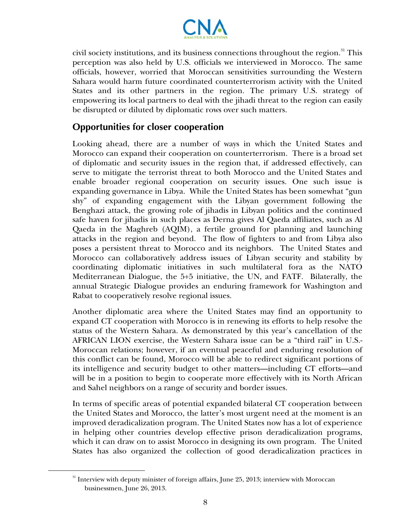

civil society institutions, and its business connections throughout the region.<sup>31</sup> This perception was also held by U.S. officials we interviewed in Morocco. The same officials, however, worried that Moroccan sensitivities surrounding the Western Sahara would harm future coordinated counterterrorism activity with the United States and its other partners in the region. The primary U.S. strategy of empowering its local partners to deal with the jihadi threat to the region can easily be disrupted or diluted by diplomatic rows over such matters.

# **Opportunities for closer cooperation**

Looking ahead, there are a number of ways in which the United States and Morocco can expand their cooperation on counterterrorism. There is a broad set of diplomatic and security issues in the region that, if addressed effectively, can serve to mitigate the terrorist threat to both Morocco and the United States and enable broader regional cooperation on security issues. One such issue is expanding governance in Libya. While the United States has been somewhat "gun shy" of expanding engagement with the Libyan government following the Benghazi attack, the growing role of jihadis in Libyan politics and the continued safe haven for jihadis in such places as Derna gives Al Qaeda affiliates, such as Al Qaeda in the Maghreb (AQIM), a fertile ground for planning and launching attacks in the region and beyond. The flow of fighters to and from Libya also poses a persistent threat to Morocco and its neighbors. The United States and Morocco can collaboratively address issues of Libyan security and stability by coordinating diplomatic initiatives in such multilateral fora as the NATO Mediterranean Dialogue, the 5+5 initiative, the UN, and FATF. Bilaterally, the annual Strategic Dialogue provides an enduring framework for Washington and Rabat to cooperatively resolve regional issues.

Another diplomatic area where the United States may find an opportunity to expand CT cooperation with Morocco is in renewing its efforts to help resolve the status of the Western Sahara. As demonstrated by this year's cancellation of the AFRICAN LION exercise, the Western Sahara issue can be a "third rail" in U.S.- Moroccan relations; however, if an eventual peaceful and enduring resolution of this conflict can be found, Morocco will be able to redirect significant portions of its intelligence and security budget to other matters—including CT efforts—and will be in a position to begin to cooperate more effectively with its North African and Sahel neighbors on a range of security and border issues.

In terms of specific areas of potential expanded bilateral CT cooperation between the United States and Morocco, the latter's most urgent need at the moment is an improved deradicalization program. The United States now has a lot of experience in helping other countries develop effective prison deradicalization programs, which it can draw on to assist Morocco in designing its own program. The United States has also organized the collection of good deradicalization practices in

 $\overline{a}$ 

<sup>&</sup>lt;sup>31</sup> Interview with deputy minister of foreign affairs, June 25, 2013; interview with Moroccan businessmen, June 26, 2013.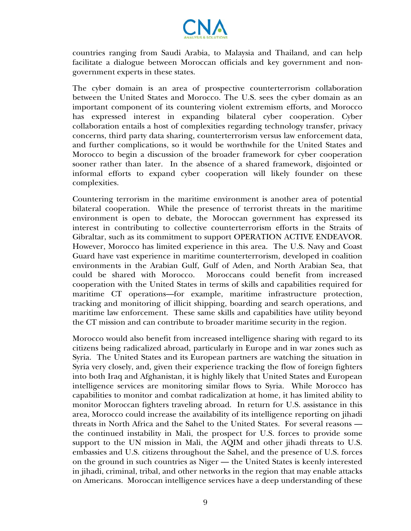

countries ranging from Saudi Arabia, to Malaysia and Thailand, and can help facilitate a dialogue between Moroccan officials and key government and nongovernment experts in these states.

The cyber domain is an area of prospective counterterrorism collaboration between the United States and Morocco. The U.S. sees the cyber domain as an important component of its countering violent extremism efforts, and Morocco has expressed interest in expanding bilateral cyber cooperation. Cyber collaboration entails a host of complexities regarding technology transfer, privacy concerns, third party data sharing, counterterrorism versus law enforcement data, and further complications, so it would be worthwhile for the United States and Morocco to begin a discussion of the broader framework for cyber cooperation sooner rather than later. In the absence of a shared framework, disjointed or informal efforts to expand cyber cooperation will likely founder on these complexities.

Countering terrorism in the maritime environment is another area of potential bilateral cooperation. While the presence of terrorist threats in the maritime environment is open to debate, the Moroccan government has expressed its interest in contributing to collective counterterrorism efforts in the Straits of Gibraltar, such as its commitment to support OPERATION ACTIVE ENDEAVOR. However, Morocco has limited experience in this area. The U.S. Navy and Coast Guard have vast experience in maritime counterterrorism, developed in coalition environments in the Arabian Gulf, Gulf of Aden, and North Arabian Sea, that could be shared with Morocco. Moroccans could benefit from increased cooperation with the United States in terms of skills and capabilities required for maritime CT operations—for example, maritime infrastructure protection, tracking and monitoring of illicit shipping, boarding and search operations, and maritime law enforcement. These same skills and capabilities have utility beyond the CT mission and can contribute to broader maritime security in the region.

Morocco would also benefit from increased intelligence sharing with regard to its citizens being radicalized abroad, particularly in Europe and in war zones such as Syria. The United States and its European partners are watching the situation in Syria very closely, and, given their experience tracking the flow of foreign fighters into both Iraq and Afghanistan, it is highly likely that United States and European intelligence services are monitoring similar flows to Syria. While Morocco has capabilities to monitor and combat radicalization at home, it has limited ability to monitor Moroccan fighters traveling abroad. In return for U.S. assistance in this area, Morocco could increase the availability of its intelligence reporting on jihadi threats in North Africa and the Sahel to the United States. For several reasons the continued instability in Mali, the prospect for U.S. forces to provide some support to the UN mission in Mali, the AQIM and other jihadi threats to U.S. embassies and U.S. citizens throughout the Sahel, and the presence of U.S. forces on the ground in such countries as Niger — the United States is keenly interested in jihadi, criminal, tribal, and other networks in the region that may enable attacks on Americans. Moroccan intelligence services have a deep understanding of these